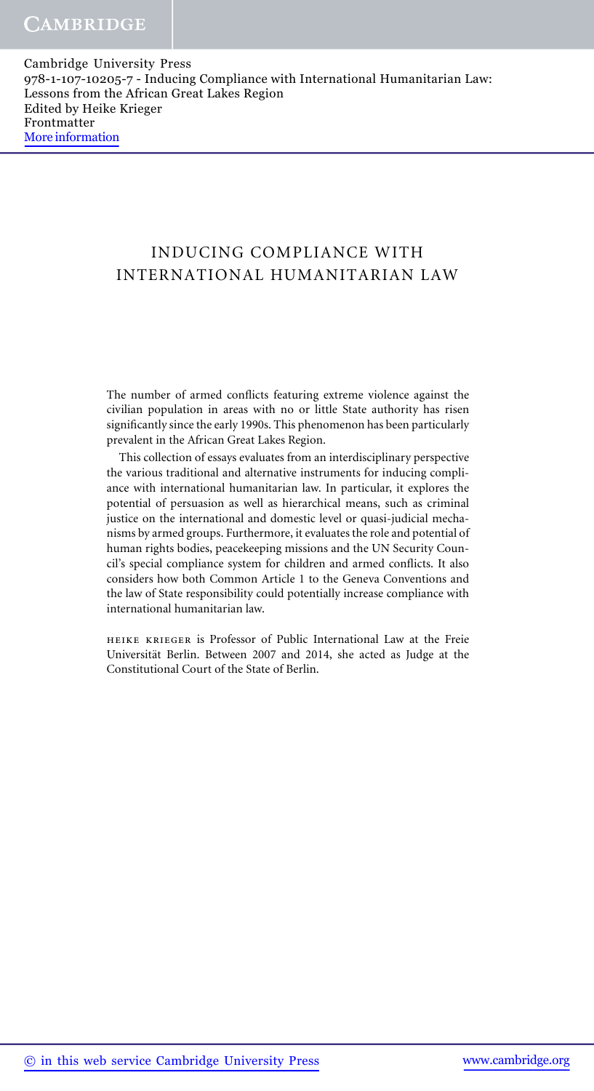# INDUCING COMPLIANCE WITH INTERNATIONAL HUMANITARIAN LAW

The number of armed conflicts featuring extreme violence against the civilian population in areas with no or little State authority has risen significantly since the early 1990s. This phenomenon has been particularly prevalent in the African Great Lakes Region.

This collection of essays evaluates from an interdisciplinary perspective the various traditional and alternative instruments for inducing compliance with international humanitarian law. In particular, it explores the potential of persuasion as well as hierarchical means, such as criminal justice on the international and domestic level or quasi-judicial mechanisms by armed groups. Furthermore, it evaluates the role and potential of human rights bodies, peacekeeping missions and the UN Security Council's special compliance system for children and armed conflicts. It also considers how both Common Article 1 to the Geneva Conventions and the law of State responsibility could potentially increase compliance with international humanitarian law.

heike krieger is Professor of Public International Law at the Freie Universität Berlin. Between 2007 and 2014, she acted as Judge at the Constitutional Court of the State of Berlin.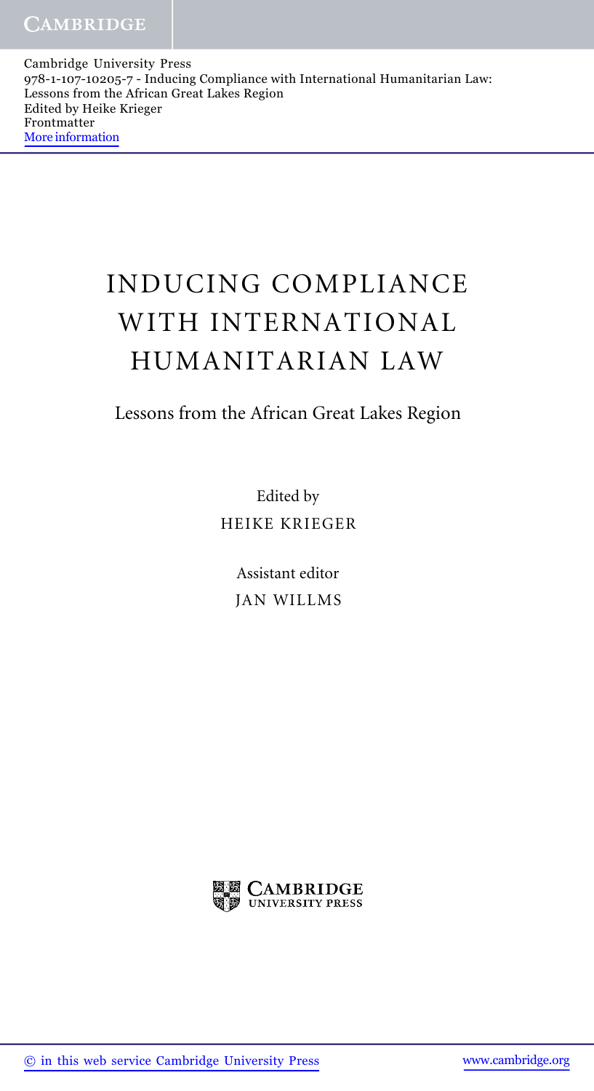# INDUCING COMPLIANCE WITH INTERNATIONAL HUMANITARIAN LAW

# Lessons from the African Great Lakes Region

Edited by HEIKE KRIEGER

> Assistant editor JAN WILLMS

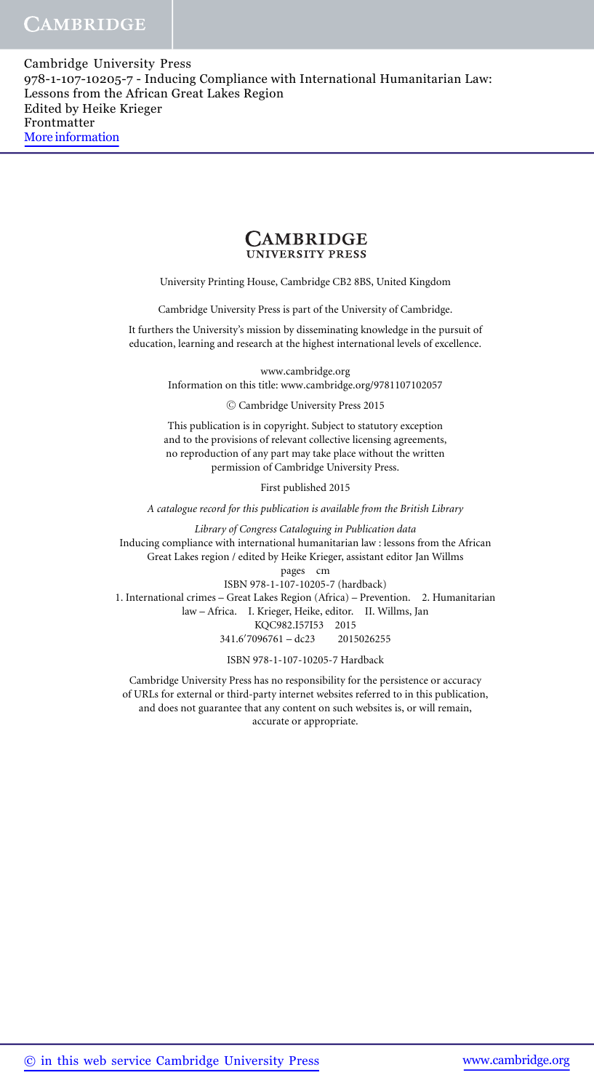

University Printing House, Cambridge CB2 8BS, United Kingdom

Cambridge University Press is part of the University of Cambridge.

It furthers the University's mission by disseminating knowledge in the pursuit of education, learning and research at the highest international levels of excellence.

www.cambridge.org

Information on this title: www.cambridge.org/9781107102057

-<sup>C</sup> Cambridge University Press 2015

This publication is in copyright. Subject to statutory exception and to the provisions of relevant collective licensing agreements, no reproduction of any part may take place without the written permission of Cambridge University Press.

First published 2015

*A catalogue record for this publication is available from the British Library*

*Library of Congress Cataloguing in Publication data* Inducing compliance with international humanitarian law : lessons from the African Great Lakes region / edited by Heike Krieger, assistant editor Jan Willms pages cm

ISBN 978-1-107-10205-7 (hardback) 1. International crimes – Great Lakes Region (Africa) – Prevention. 2. Humanitarian law – Africa. I. Krieger, Heike, editor. II. Willms, Jan KQC982.I57I53 2015 341.6 7096761 – dc23 2015026255

ISBN 978-1-107-10205-7 Hardback

Cambridge University Press has no responsibility for the persistence or accuracy of URLs for external or third-party internet websites referred to in this publication, and does not guarantee that any content on such websites is, or will remain, accurate or appropriate.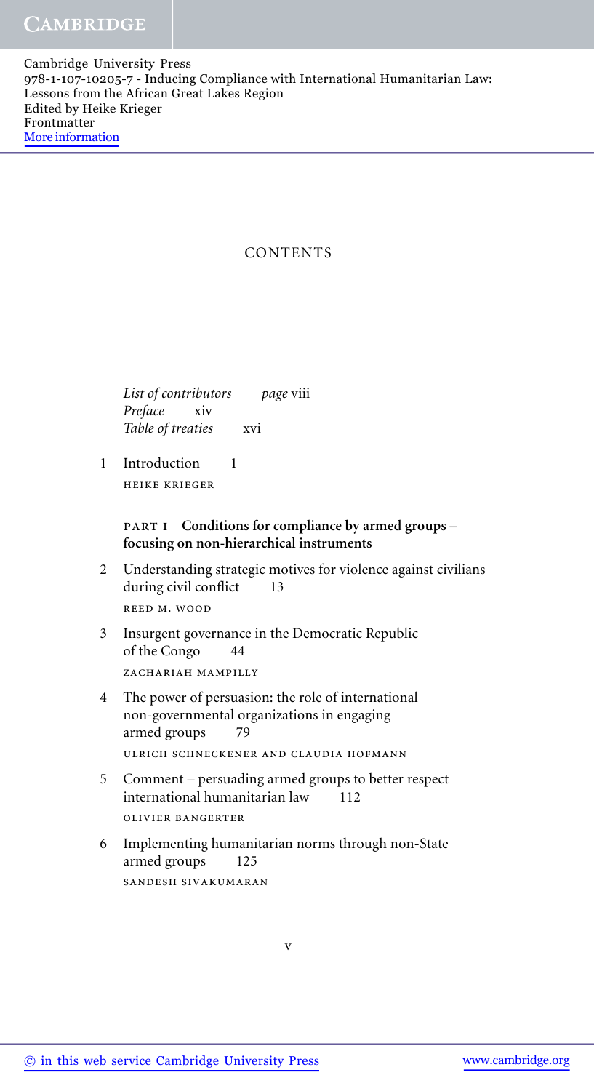# **CONTENTS**

*List of contributors page* viii *Preface* xiv Table of treaties xvi

1 Introduction 1 heike krieger

# part i **Conditions for compliance by armed groups – focusing on non-hierarchical instruments**

2 Understanding strategic motives for violence against civilians during civil conflict 13 reed m. wood

3 Insurgent governance in the Democratic Republic of the Congo 44 ZACHARIAH MAMPILLY

- 4 The power of persuasion: the role of international non-governmental organizations in engaging armed groups 79 ulrich schneckener and claudia hofmann
- 5 Comment persuading armed groups to better respect international humanitarian law 112 olivier bangerter
- 6 Implementing humanitarian norms through non-State armed groups 125 sandesh sivakumaran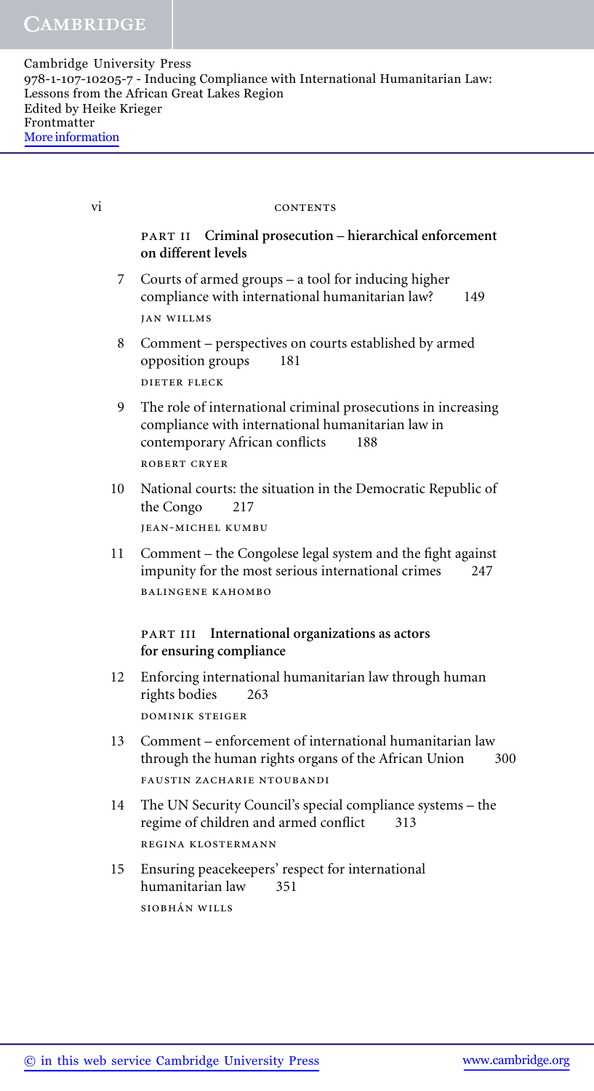#### vi CONTENTS

# part ii **Criminal prosecution – hierarchical enforcement on different levels**

- 7 Courts of armed groups a tool for inducing higher compliance with international humanitarian law? 149 jan willms
- 8 Comment perspectives on courts established by armed opposition groups 181 dieter fleck
- 9 The role of international criminal prosecutions in increasing compliance with international humanitarian law in contemporary African conflicts 188 robert cryer
- 10 National courts: the situation in the Democratic Republic of the Congo 217 jean-michel kumbu
- 11 Comment the Congolese legal system and the fight against impunity for the most serious international crimes 247 balingene kahombo

### part iii **International organizations as actors for ensuring compliance**

- 12 Enforcing international humanitarian law through human rights bodies 263 dominik steiger
- 13 Comment enforcement of international humanitarian law through the human rights organs of the African Union 300 FAUSTIN ZACHARIE NTOUBANDI
- 14 The UN Security Council's special compliance systems the regime of children and armed conflict 313 regina klostermann
- 15 Ensuring peacekeepers' respect for international humanitarian law 351 SIOBHÁN WILLS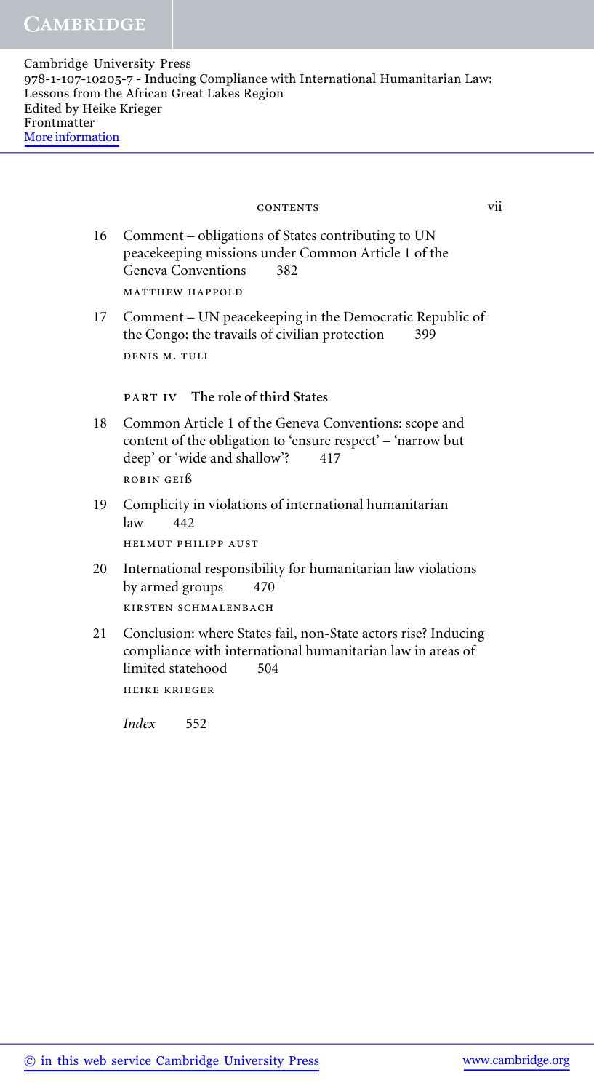#### contents vii

- 16 Comment obligations of States contributing to UN peacekeeping missions under Common Article 1 of the Geneva Conventions 382 matthew happold
- 17 Comment UN peacekeeping in the Democratic Republic of the Congo: the travails of civilian protection 399 denis m. tull

## part iv **The role of third States**

- 18 Common Article 1 of the Geneva Conventions: scope and content of the obligation to 'ensure respect' – 'narrow but deep' or 'wide and shallow'? 417 robin geiß
- 19 Complicity in violations of international humanitarian  $law$  442

helmut philipp aust

- 20 International responsibility for humanitarian law violations by armed groups 470 kirsten schmalenbach
- 21 Conclusion: where States fail, non-State actors rise? Inducing compliance with international humanitarian law in areas of limited statehood 504 heike krieger

*Index* 552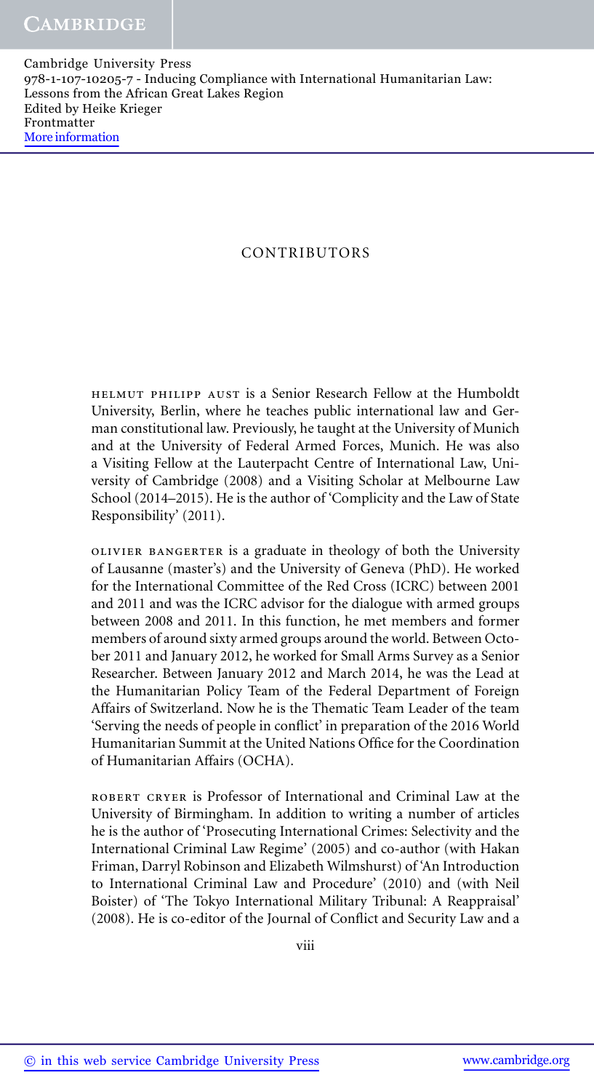# CONTRIBUTORS

helmut philipp aust is a Senior Research Fellow at the Humboldt University, Berlin, where he teaches public international law and German constitutional law. Previously, he taught at the University of Munich and at the University of Federal Armed Forces, Munich. He was also a Visiting Fellow at the Lauterpacht Centre of International Law, University of Cambridge (2008) and a Visiting Scholar at Melbourne Law School (2014–2015). He is the author of 'Complicity and the Law of State Responsibility' (2011).

olivier bangerter is a graduate in theology of both the University of Lausanne (master's) and the University of Geneva (PhD). He worked for the International Committee of the Red Cross (ICRC) between 2001 and 2011 and was the ICRC advisor for the dialogue with armed groups between 2008 and 2011. In this function, he met members and former members of around sixty armed groups around the world. Between October 2011 and January 2012, he worked for Small Arms Survey as a Senior Researcher. Between January 2012 and March 2014, he was the Lead at the Humanitarian Policy Team of the Federal Department of Foreign Affairs of Switzerland. Now he is the Thematic Team Leader of the team 'Serving the needs of people in conflict' in preparation of the 2016 World Humanitarian Summit at the United Nations Office for the Coordination of Humanitarian Affairs (OCHA).

robert cryer is Professor of International and Criminal Law at the University of Birmingham. In addition to writing a number of articles he is the author of 'Prosecuting International Crimes: Selectivity and the International Criminal Law Regime' (2005) and co-author (with Hakan Friman, Darryl Robinson and Elizabeth Wilmshurst) of 'An Introduction to International Criminal Law and Procedure' (2010) and (with Neil Boister) of 'The Tokyo International Military Tribunal: A Reappraisal' (2008). He is co-editor of the Journal of Conflict and Security Law and a

viii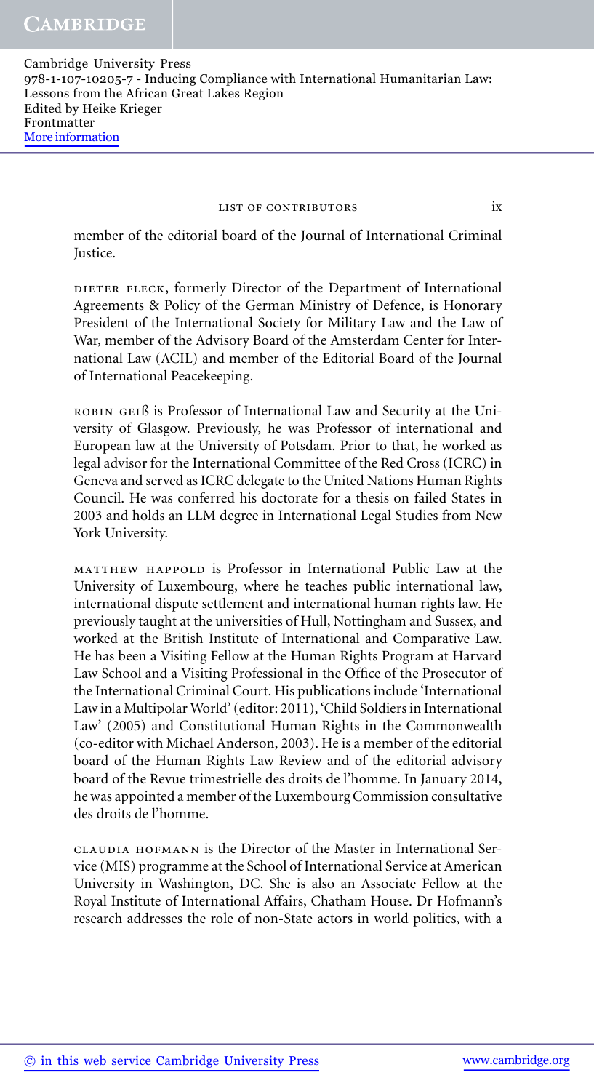#### list of contributors ix

member of the editorial board of the Journal of International Criminal Justice.

DIETER FLECK, formerly Director of the Department of International Agreements & Policy of the German Ministry of Defence, is Honorary President of the International Society for Military Law and the Law of War, member of the Advisory Board of the Amsterdam Center for International Law (ACIL) and member of the Editorial Board of the Journal of International Peacekeeping.

ROBIN GEIß is Professor of International Law and Security at the University of Glasgow. Previously, he was Professor of international and European law at the University of Potsdam. Prior to that, he worked as legal advisor for the International Committee of the Red Cross (ICRC) in Geneva and served as ICRC delegate to the United Nations Human Rights Council. He was conferred his doctorate for a thesis on failed States in 2003 and holds an LLM degree in International Legal Studies from New York University.

matthew happold is Professor in International Public Law at the University of Luxembourg, where he teaches public international law, international dispute settlement and international human rights law. He previously taught at the universities of Hull, Nottingham and Sussex, and worked at the British Institute of International and Comparative Law. He has been a Visiting Fellow at the Human Rights Program at Harvard Law School and a Visiting Professional in the Office of the Prosecutor of the International Criminal Court. His publications include 'International Law in a Multipolar World' (editor: 2011), 'Child Soldiers in International Law' (2005) and Constitutional Human Rights in the Commonwealth (co-editor with Michael Anderson, 2003). He is a member of the editorial board of the Human Rights Law Review and of the editorial advisory board of the Revue trimestrielle des droits de l'homme. In January 2014, he was appointed a member of the Luxembourg Commission consultative des droits de l'homme.

claudia hofmann is the Director of the Master in International Service (MIS) programme at the School of International Service at American University in Washington, DC. She is also an Associate Fellow at the Royal Institute of International Affairs, Chatham House. Dr Hofmann's research addresses the role of non-State actors in world politics, with a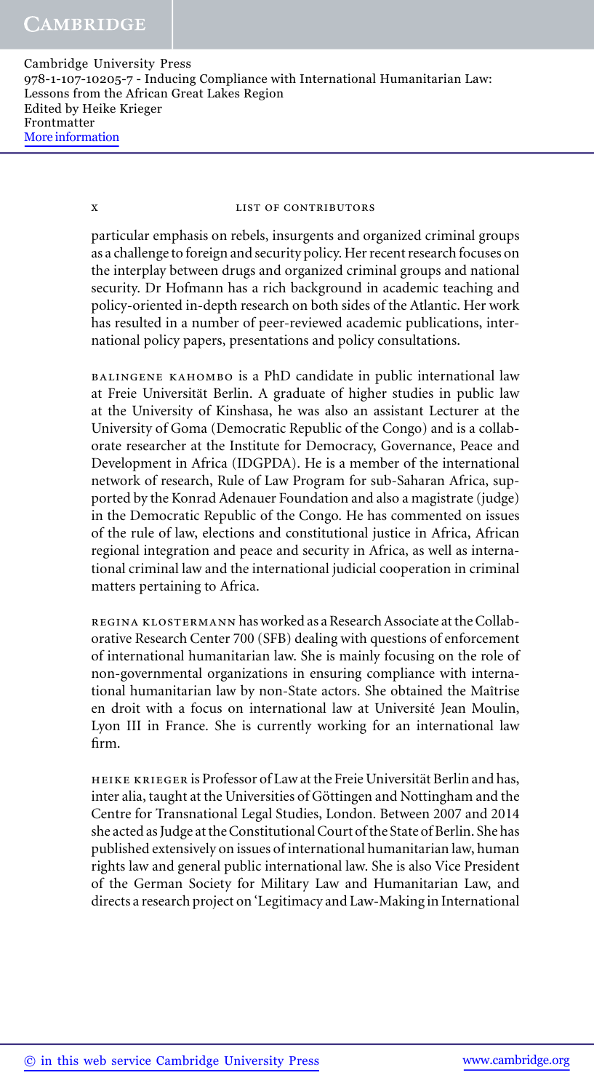x list of contributors

particular emphasis on rebels, insurgents and organized criminal groups as a challenge to foreign and security policy. Her recent research focuses on the interplay between drugs and organized criminal groups and national security. Dr Hofmann has a rich background in academic teaching and policy-oriented in-depth research on both sides of the Atlantic. Her work has resulted in a number of peer-reviewed academic publications, international policy papers, presentations and policy consultations.

balingene kahombo is a PhD candidate in public international law at Freie Universität Berlin. A graduate of higher studies in public law at the University of Kinshasa, he was also an assistant Lecturer at the University of Goma (Democratic Republic of the Congo) and is a collaborate researcher at the Institute for Democracy, Governance, Peace and Development in Africa (IDGPDA). He is a member of the international network of research, Rule of Law Program for sub-Saharan Africa, supported by the Konrad Adenauer Foundation and also a magistrate (judge) in the Democratic Republic of the Congo. He has commented on issues of the rule of law, elections and constitutional justice in Africa, African regional integration and peace and security in Africa, as well as international criminal law and the international judicial cooperation in criminal matters pertaining to Africa.

regina klostermann has worked as a Research Associate at the Collaborative Research Center 700 (SFB) dealing with questions of enforcement of international humanitarian law. She is mainly focusing on the role of non-governmental organizations in ensuring compliance with international humanitarian law by non-State actors. She obtained the Maîtrise en droit with a focus on international law at Université Jean Moulin, Lyon III in France. She is currently working for an international law firm.

HEIKE KRIEGER is Professor of Law at the Freie Universität Berlin and has, inter alia, taught at the Universities of Göttingen and Nottingham and the Centre for Transnational Legal Studies, London. Between 2007 and 2014 she acted as Judge at the Constitutional Court of the State of Berlin. She has published extensively on issues of international humanitarian law, human rights law and general public international law. She is also Vice President of the German Society for Military Law and Humanitarian Law, and directs a research project on 'Legitimacy and Law-Making in International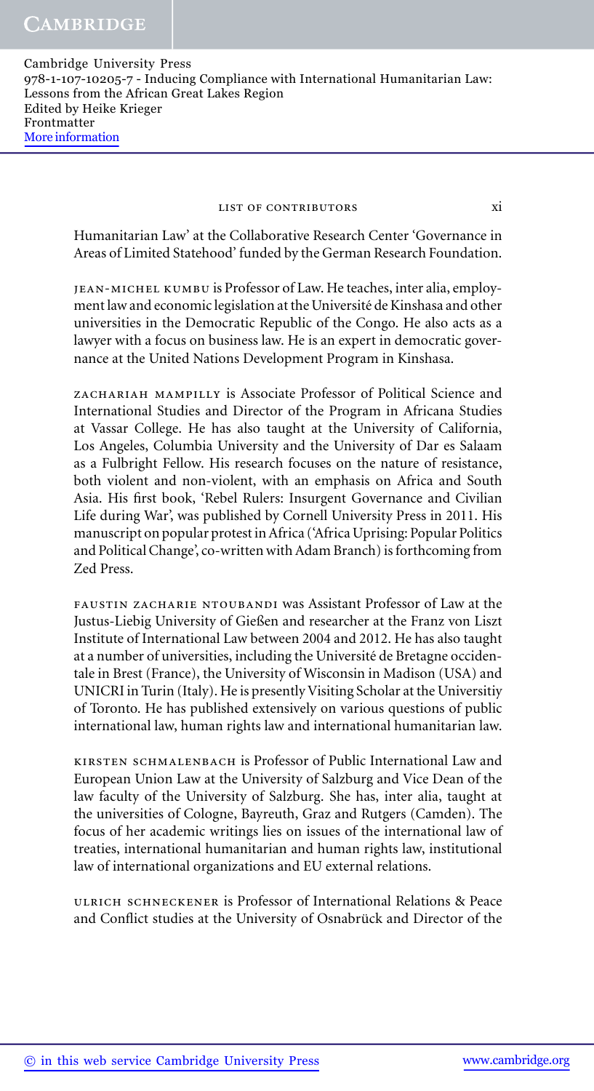#### LIST OF CONTRIBUTORS XI

Humanitarian Law' at the Collaborative Research Center 'Governance in Areas of Limited Statehood' funded by the German Research Foundation.

jean-michel kumbu is Professor of Law. He teaches, inter alia, employment law and economic legislation at the Université de Kinshasa and other universities in the Democratic Republic of the Congo. He also acts as a lawyer with a focus on business law. He is an expert in democratic governance at the United Nations Development Program in Kinshasa.

zachariah mampilly is Associate Professor of Political Science and International Studies and Director of the Program in Africana Studies at Vassar College. He has also taught at the University of California, Los Angeles, Columbia University and the University of Dar es Salaam as a Fulbright Fellow. His research focuses on the nature of resistance, both violent and non-violent, with an emphasis on Africa and South Asia. His first book, 'Rebel Rulers: Insurgent Governance and Civilian Life during War', was published by Cornell University Press in 2011. His manuscript on popular protest in Africa ('Africa Uprising: Popular Politics and Political Change', co-written with Adam Branch) is forthcoming from Zed Press.

FAUSTIN ZACHARIE NTOUBANDI was Assistant Professor of Law at the Justus-Liebig University of Gießen and researcher at the Franz von Liszt Institute of International Law between 2004 and 2012. He has also taught at a number of universities, including the Universite de Bretagne occiden- ´ tale in Brest (France), the University of Wisconsin in Madison (USA) and UNICRI in Turin (Italy). He is presently Visiting Scholar at the Universitiy of Toronto. He has published extensively on various questions of public international law, human rights law and international humanitarian law.

kirsten schmalenbach is Professor of Public International Law and European Union Law at the University of Salzburg and Vice Dean of the law faculty of the University of Salzburg. She has, inter alia, taught at the universities of Cologne, Bayreuth, Graz and Rutgers (Camden). The focus of her academic writings lies on issues of the international law of treaties, international humanitarian and human rights law, institutional law of international organizations and EU external relations.

ulrich schneckener is Professor of International Relations & Peace and Conflict studies at the University of Osnabrück and Director of the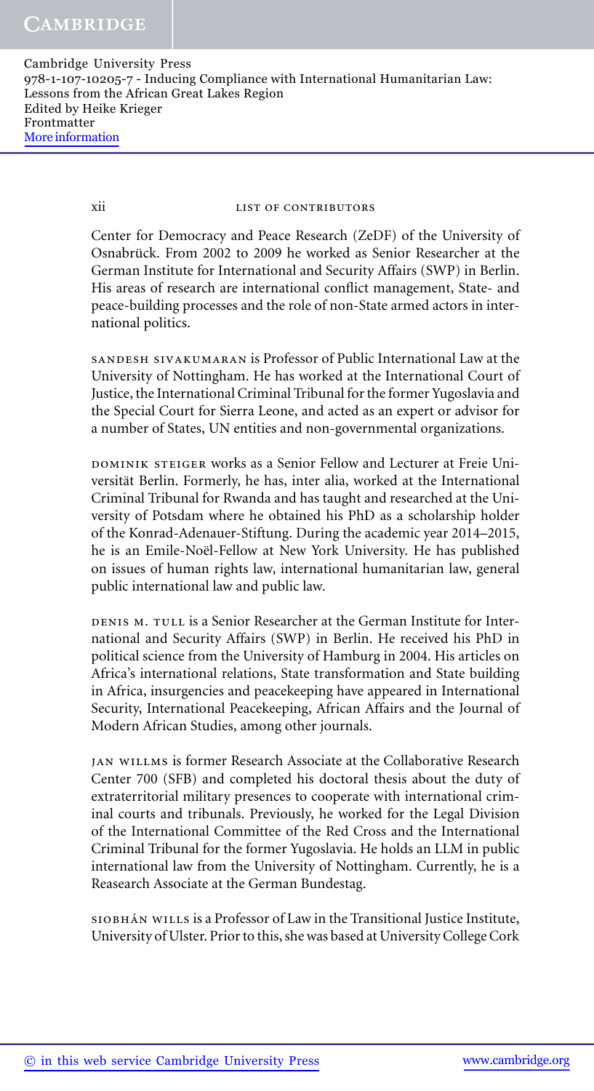xii list of contributors

Center for Democracy and Peace Research (ZeDF) of the University of Osnabrück. From 2002 to 2009 he worked as Senior Researcher at the German Institute for International and Security Affairs (SWP) in Berlin. His areas of research are international conflict management, State- and peace-building processes and the role of non-State armed actors in international politics.

sandesh sivakumaran is Professor of Public International Law at the University of Nottingham. He has worked at the International Court of Justice, the International Criminal Tribunal for the former Yugoslavia and the Special Court for Sierra Leone, and acted as an expert or advisor for a number of States, UN entities and non-governmental organizations.

DOMINIK STEIGER works as a Senior Fellow and Lecturer at Freie Universität Berlin. Formerly, he has, inter alia, worked at the International Criminal Tribunal for Rwanda and has taught and researched at the University of Potsdam where he obtained his PhD as a scholarship holder of the Konrad-Adenauer-Stiftung. During the academic year 2014–2015, he is an Emile-Noël-Fellow at New York University. He has published on issues of human rights law, international humanitarian law, general public international law and public law.

DENIS M. TULL is a Senior Researcher at the German Institute for International and Security Affairs (SWP) in Berlin. He received his PhD in political science from the University of Hamburg in 2004. His articles on Africa's international relations, State transformation and State building in Africa, insurgencies and peacekeeping have appeared in International Security, International Peacekeeping, African Affairs and the Journal of Modern African Studies, among other journals.

jan willms is former Research Associate at the Collaborative Research Center 700 (SFB) and completed his doctoral thesis about the duty of extraterritorial military presences to cooperate with international criminal courts and tribunals. Previously, he worked for the Legal Division of the International Committee of the Red Cross and the International Criminal Tribunal for the former Yugoslavia. He holds an LLM in public international law from the University of Nottingham. Currently, he is a Reasearch Associate at the German Bundestag.

SIOBHÁN WILLS is a Professor of Law in the Transitional Justice Institute, University of Ulster. Prior to this, she was based at University College Cork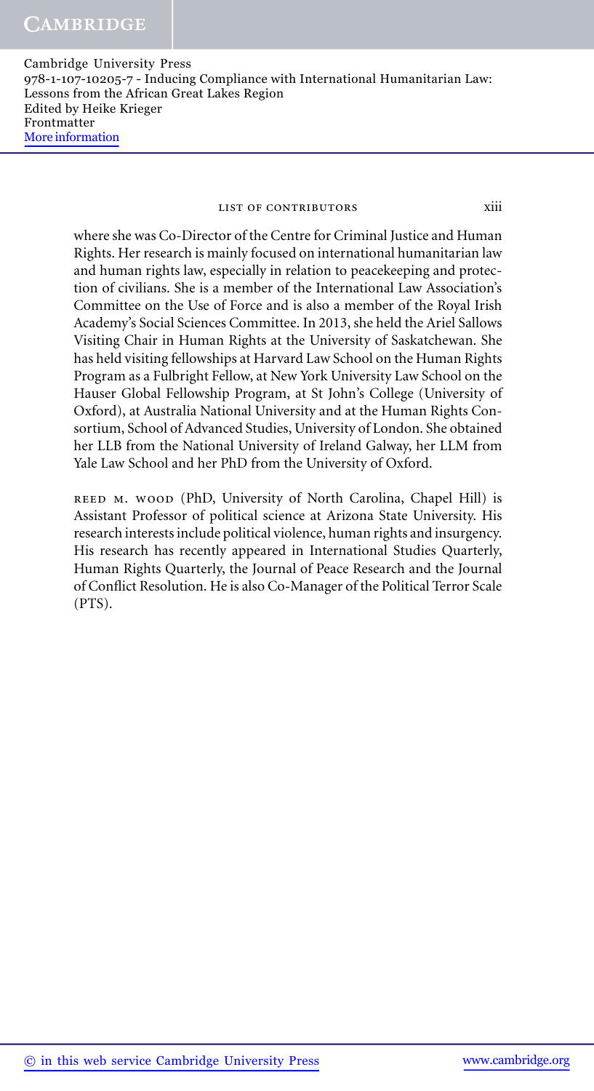#### LIST OF CONTRIBUTORS Xiii

where she was Co-Director of the Centre for Criminal Justice and Human Rights. Her research is mainly focused on international humanitarian law and human rights law, especially in relation to peacekeeping and protection of civilians. She is a member of the International Law Association's Committee on the Use of Force and is also a member of the Royal Irish Academy's Social Sciences Committee. In 2013, she held the Ariel Sallows Visiting Chair in Human Rights at the University of Saskatchewan. She has held visiting fellowships at Harvard Law School on the Human Rights Program as a Fulbright Fellow, at New York University Law School on the Hauser Global Fellowship Program, at St John's College (University of Oxford), at Australia National University and at the Human Rights Consortium, School of Advanced Studies, University of London. She obtained her LLB from the National University of Ireland Galway, her LLM from Yale Law School and her PhD from the University of Oxford.

reed m. wood (PhD, University of North Carolina, Chapel Hill) is Assistant Professor of political science at Arizona State University. His research interests include political violence, human rights and insurgency. His research has recently appeared in International Studies Quarterly, Human Rights Quarterly, the Journal of Peace Research and the Journal of Conflict Resolution. He is also Co-Manager of the Political Terror Scale (PTS).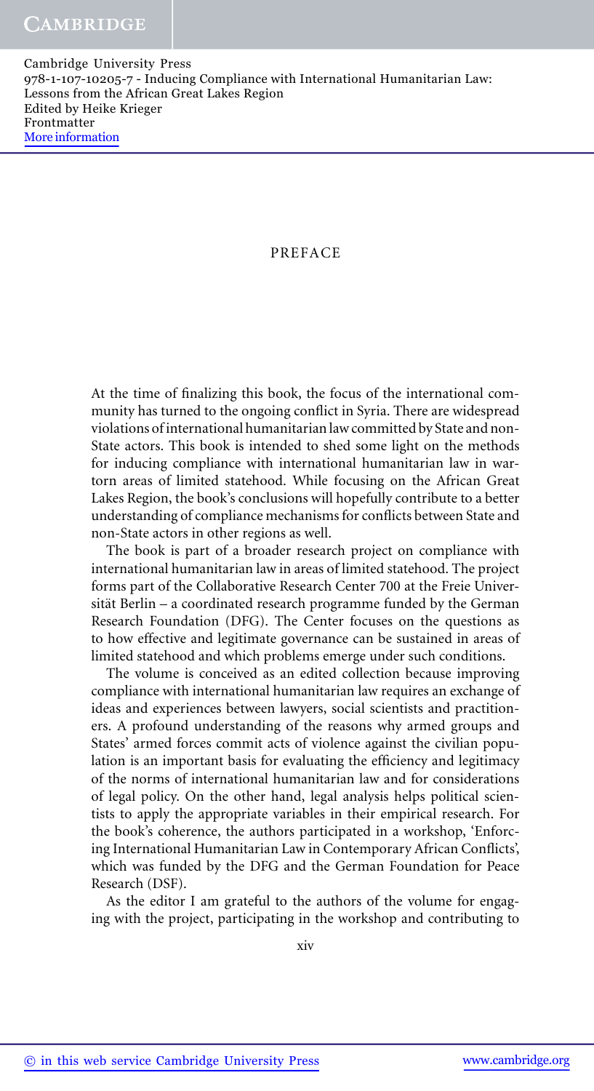#### PREFACE

At the time of finalizing this book, the focus of the international community has turned to the ongoing conflict in Syria. There are widespread violations of international humanitarian law committed by State and non-State actors. This book is intended to shed some light on the methods for inducing compliance with international humanitarian law in wartorn areas of limited statehood. While focusing on the African Great Lakes Region, the book's conclusions will hopefully contribute to a better understanding of compliance mechanisms for conflicts between State and non-State actors in other regions as well.

The book is part of a broader research project on compliance with international humanitarian law in areas of limited statehood. The project forms part of the Collaborative Research Center 700 at the Freie Universität Berlin – a coordinated research programme funded by the German Research Foundation (DFG). The Center focuses on the questions as to how effective and legitimate governance can be sustained in areas of limited statehood and which problems emerge under such conditions.

The volume is conceived as an edited collection because improving compliance with international humanitarian law requires an exchange of ideas and experiences between lawyers, social scientists and practitioners. A profound understanding of the reasons why armed groups and States' armed forces commit acts of violence against the civilian population is an important basis for evaluating the efficiency and legitimacy of the norms of international humanitarian law and for considerations of legal policy. On the other hand, legal analysis helps political scientists to apply the appropriate variables in their empirical research. For the book's coherence, the authors participated in a workshop, 'Enforcing International Humanitarian Law in Contemporary African Conflicts', which was funded by the DFG and the German Foundation for Peace Research (DSF).

As the editor I am grateful to the authors of the volume for engaging with the project, participating in the workshop and contributing to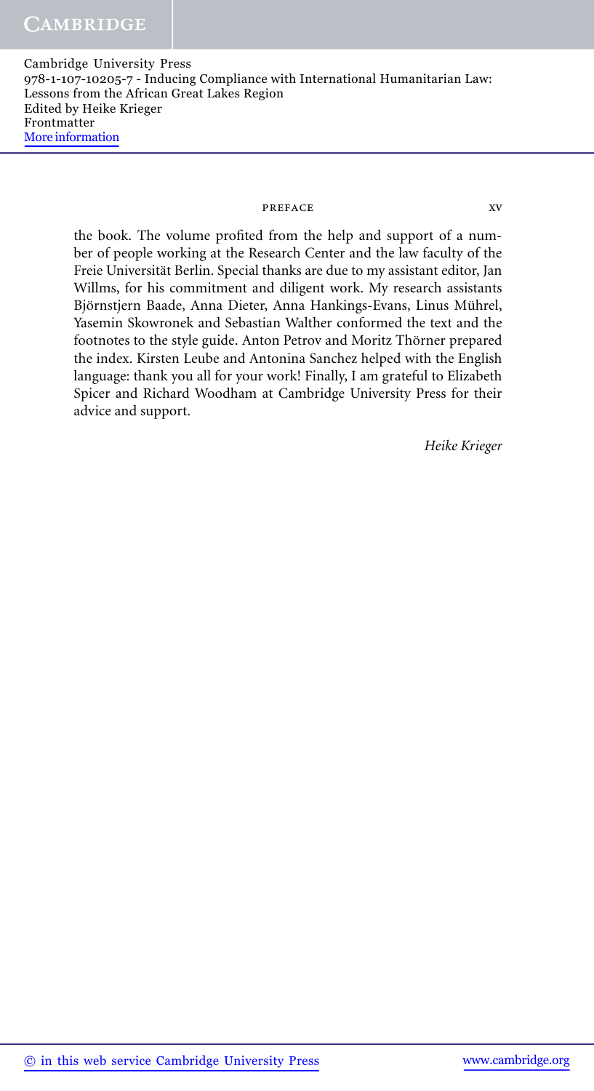#### preface xv

the book. The volume profited from the help and support of a number of people working at the Research Center and the law faculty of the Freie Universität Berlin. Special thanks are due to my assistant editor, Jan Willms, for his commitment and diligent work. My research assistants Björnstjern Baade, Anna Dieter, Anna Hankings-Evans, Linus Mührel, Yasemin Skowronek and Sebastian Walther conformed the text and the footnotes to the style guide. Anton Petrov and Moritz Thörner prepared the index. Kirsten Leube and Antonina Sanchez helped with the English language: thank you all for your work! Finally, I am grateful to Elizabeth Spicer and Richard Woodham at Cambridge University Press for their advice and support.

*Heike Krieger*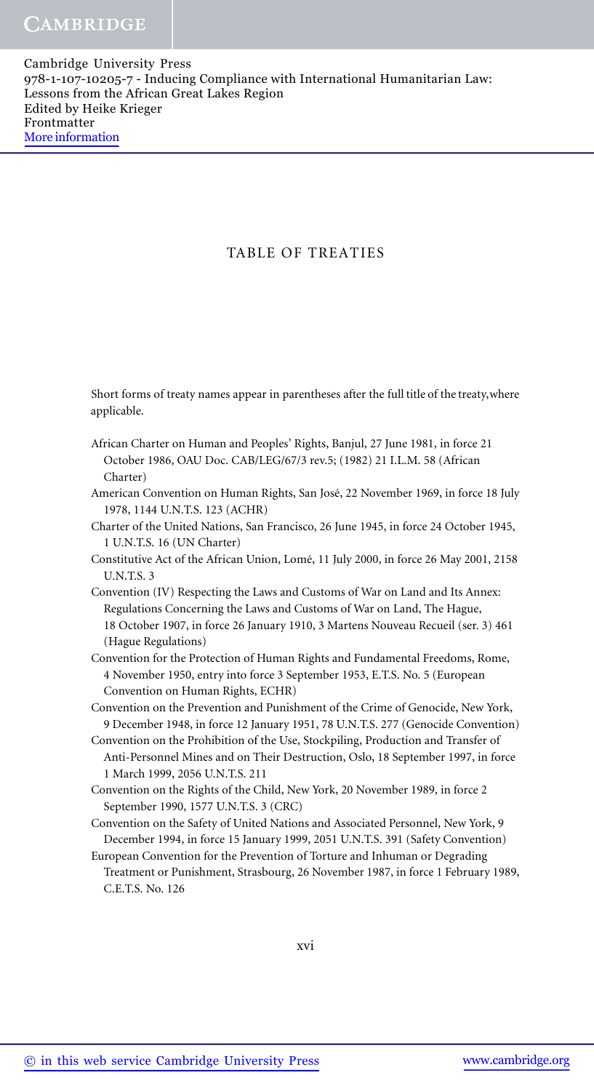# TABLE OF TREATIES

Short forms of treaty names appear in parentheses after the full title of the treaty,where applicable.

- African Charter on Human and Peoples' Rights, Banjul, 27 June 1981, in force 21 October 1986, OAU Doc. CAB/LEG/67/3 rev.5; (1982) 21 I.L.M. 58 (African Charter)
- American Convention on Human Rights, San José, 22 November 1969, in force 18 July 1978, 1144 U.N.T.S. 123 (ACHR)
- Charter of the United Nations, San Francisco, 26 June 1945, in force 24 October 1945, 1 U.N.T.S. 16 (UN Charter)
- Constitutive Act of the African Union, Lome, 11 July 2000, in force 26 May 2001, 2158 ´ U.N.T.S. 3
- Convention (IV) Respecting the Laws and Customs of War on Land and Its Annex: Regulations Concerning the Laws and Customs of War on Land, The Hague, 18 October 1907, in force 26 January 1910, 3 Martens Nouveau Recueil (ser. 3) 461 (Hague Regulations)
- Convention for the Protection of Human Rights and Fundamental Freedoms, Rome, 4 November 1950, entry into force 3 September 1953, E.T.S. No. 5 (European Convention on Human Rights, ECHR)

Convention on the Prevention and Punishment of the Crime of Genocide, New York, 9 December 1948, in force 12 January 1951, 78 U.N.T.S. 277 (Genocide Convention)

- Convention on the Prohibition of the Use, Stockpiling, Production and Transfer of Anti-Personnel Mines and on Their Destruction, Oslo, 18 September 1997, in force 1 March 1999, 2056 U.N.T.S. 211
- Convention on the Rights of the Child, New York, 20 November 1989, in force 2 September 1990, 1577 U.N.T.S. 3 (CRC)
- Convention on the Safety of United Nations and Associated Personnel, New York, 9 December 1994, in force 15 January 1999, 2051 U.N.T.S. 391 (Safety Convention)

European Convention for the Prevention of Torture and Inhuman or Degrading Treatment or Punishment, Strasbourg, 26 November 1987, in force 1 February 1989, C.E.T.S. No. 126